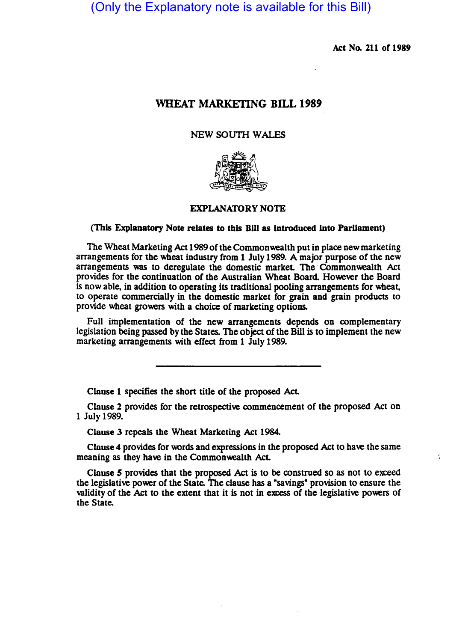(Only the Explanatory note is available for this Bill)

Act No. 211 of 1989

<, .

## WHEAT MARKETING BILL 1989

## NEW SOUTH WALES



## EXPLANATORY NOTE

## (This Explanatory Note relates to this Bill as introduced into Parliament)

The Wheat Marketing Act 1989 of the Commonwealth put in place new marketing arrangements for the wheat industry from 1 July 1989. A major purpose of the new arrangements was to deregulate the domestic market. The Commonwealth Act provides for the continuation of the Australian Wheat Board. However the Board is now able, in addition to operating its traditional pooling arrangements for wheat, to operate commercially in the domestic market for grain and grain products to provide wheat growers with a choice of marketing options.

Full implementation of the new arrangements depends on complementary legislation being passed by the States. The object of the Bill is to implement the new marketing arrangements with effect from 1 July 1989.

Clause 1 specifies the short title of the proposed Act.

Clause 2 provides for the retrospective commencement of the proposed Act on 1 July 1989.

Clause 3 repeals the Wheat Marketing Act 1984.

Clause 4 provides for words and expressions in the proposed Act to have the same meaning as they have in the Commonwealth Act.

Clause 5 provides that the proposed Act is to be construed so as not to exceed the legislative power of the State. The clause has a "savings" provision to ensure the validity of the Act to the extent that it is not in excess of the legislative powers of the State.